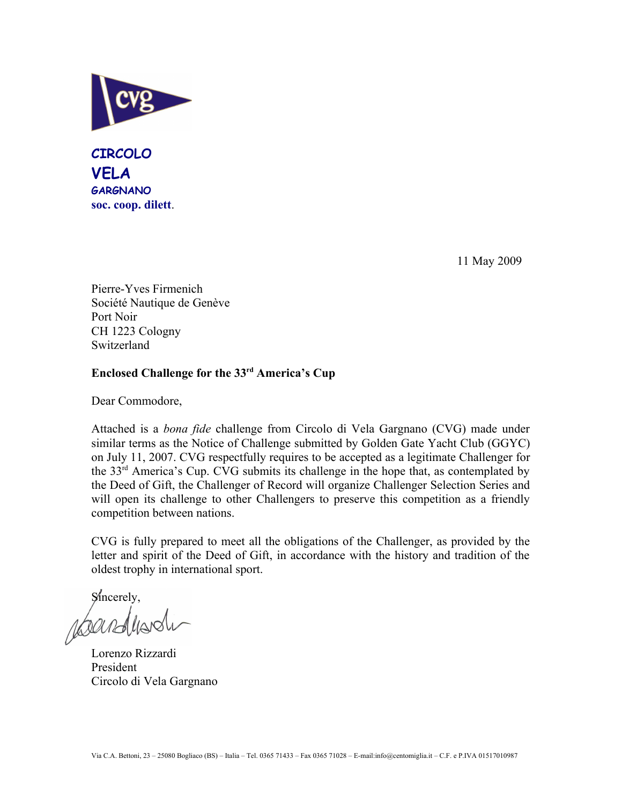

**CIRCOLO VELA GARGNANO soc. coop. dilett**.

11 May 2009

Pierre-Yves Firmenich Société Nautique de Genève Port Noir CH 1223 Cologny Switzerland

## **Enclosed Challenge for the 33rd America's Cup**

Dear Commodore,

Attached is a *bona fide* challenge from Circolo di Vela Gargnano (CVG) made under similar terms as the Notice of Challenge submitted by Golden Gate Yacht Club (GGYC) on July 11, 2007. CVG respectfully requires to be accepted as a legitimate Challenger for the 33rd America's Cup. CVG submits its challenge in the hope that, as contemplated by the Deed of Gift, the Challenger of Record will organize Challenger Selection Series and will open its challenge to other Challengers to preserve this competition as a friendly competition between nations.

CVG is fully prepared to meet all the obligations of the Challenger, as provided by the letter and spirit of the Deed of Gift, in accordance with the history and tradition of the oldest trophy in international sport.

sincerely,<br>ABOUTEMANS

Lorenzo Rizzardi President Circolo di Vela Gargnano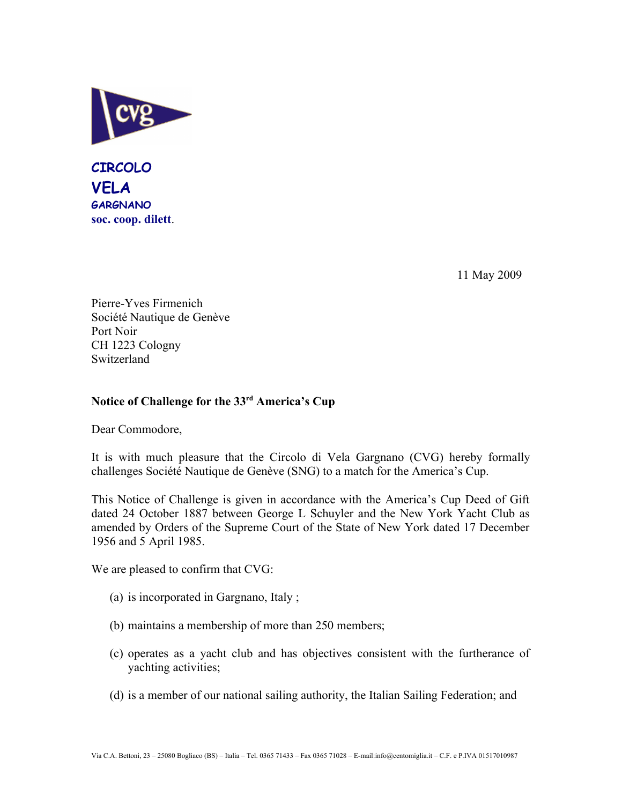

**CIRCOLO VELA GARGNANO soc. coop. dilett**.

11 May 2009

Pierre-Yves Firmenich Société Nautique de Genève Port Noir CH 1223 Cologny Switzerland

## **Notice of Challenge for the 33rd America's Cup**

Dear Commodore,

It is with much pleasure that the Circolo di Vela Gargnano (CVG) hereby formally challenges Société Nautique de Genève (SNG) to a match for the America's Cup.

This Notice of Challenge is given in accordance with the America's Cup Deed of Gift dated 24 October 1887 between George L Schuyler and the New York Yacht Club as amended by Orders of the Supreme Court of the State of New York dated 17 December 1956 and 5 April 1985.

We are pleased to confirm that CVG:

- (a) is incorporated in Gargnano, Italy ;
- (b) maintains a membership of more than 250 members;
- (c) operates as a yacht club and has objectives consistent with the furtherance of yachting activities;
- (d) is a member of our national sailing authority, the Italian Sailing Federation; and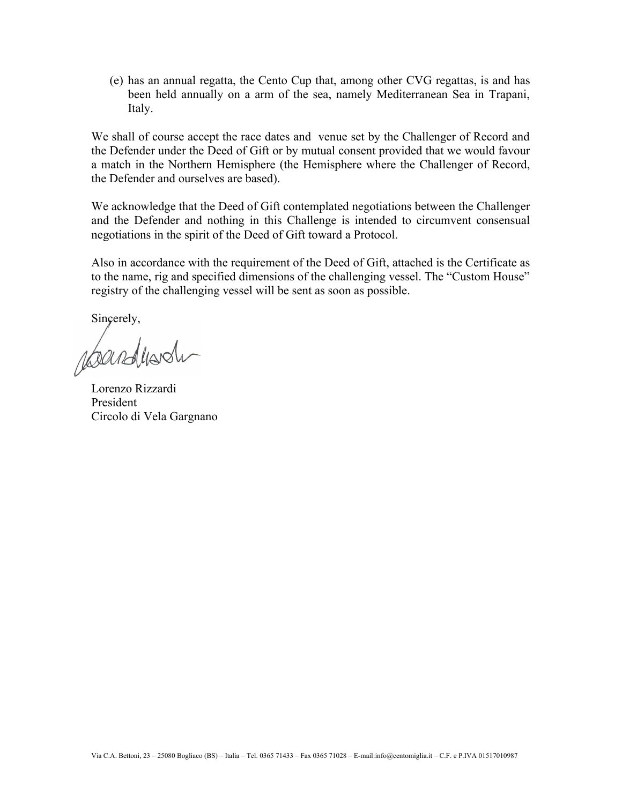(e) has an annual regatta, the Cento Cup that, among other CVG regattas, is and has been held annually on a arm of the sea, namely Mediterranean Sea in Trapani, Italy.

We shall of course accept the race dates and venue set by the Challenger of Record and the Defender under the Deed of Gift or by mutual consent provided that we would favour a match in the Northern Hemisphere (the Hemisphere where the Challenger of Record, the Defender and ourselves are based).

We acknowledge that the Deed of Gift contemplated negotiations between the Challenger and the Defender and nothing in this Challenge is intended to circumvent consensual negotiations in the spirit of the Deed of Gift toward a Protocol.

Also in accordance with the requirement of the Deed of Gift, attached is the Certificate as to the name, rig and specified dimensions of the challenging vessel. The "Custom House" registry of the challenging vessel will be sent as soon as possible.

Sincerely,

roandundi

Lorenzo Rizzardi President Circolo di Vela Gargnano